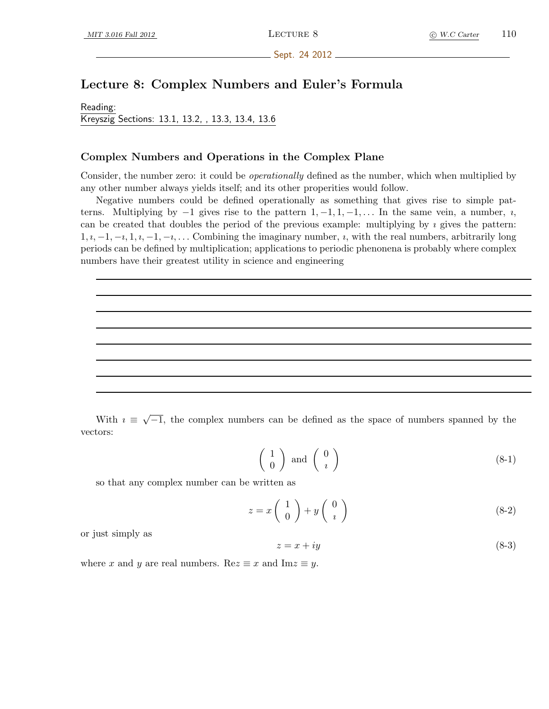Sept. 24 2012.

# Lecture 8: Complex Numbers and Euler's Formula

Reading: Kreyszig Sections: 13.1, 13.2, , 13.3, 13.4, 13.6

## Complex Numbers and Operations in the Complex Plane

Consider, the number zero: it could be *operationally* defined as the number, which when multiplied by any other number always yields itself; and its other properities would follow.

Negative numbers could be defined operationally as something that gives rise to simple patterns. Multiplying by  $-1$  gives rise to the pattern  $1, -1, 1, -1, \ldots$  In the same vein, a number,  $i$ , can be created that doubles the period of the previous example: multiplying by  $\imath$  gives the pattern:  $1, i, -1, -i, 1, i, -1, -i, \ldots$  Combining the imaginary number, i, with the real numbers, arbitrarily long periods can be defined by multiplication; applications to periodic phenonena is probably where complex numbers have their greatest utility in science and engineering

With  $i \equiv$ √  $\overline{-1}$ , the complex numbers can be defined as the space of numbers spanned by the vectors:

<span id="page-0-0"></span>
$$
\left(\begin{array}{c}1\\0\end{array}\right) \text{ and } \left(\begin{array}{c}0\\i\end{array}\right) \tag{8-1}
$$

so that any complex number can be written as

$$
z = x \begin{pmatrix} 1 \\ 0 \end{pmatrix} + y \begin{pmatrix} 0 \\ i \end{pmatrix}
$$
 (8-2)

or just simply as

$$
z = x + iy \tag{8-3}
$$

where x and y are real numbers. Re $z \equiv x$  and Im $z \equiv y$ .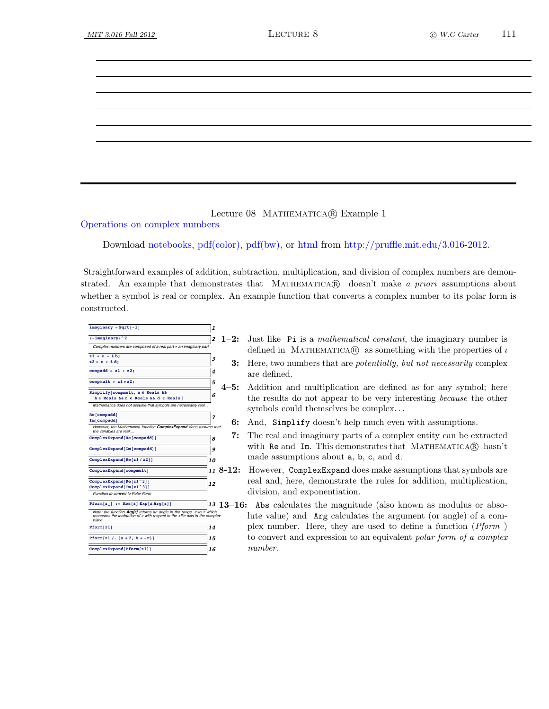### Lecture 08 MATHEMATICA® Example 1

Operations on complex numbers

Download [notebooks,](http://pruffle.mit.edu/3.016-2012/Notebooks/L08/Lecture-08.nb) [pdf\(color\),](http://pruffle.mit.edu/3.016-2012/pdf/L08/Lecture-08-1-COL.pdf) [pdf\(bw\),](http://pruffle.mit.edu/3.016-2012/pdf/L08/Lecture-08-1-BW.pdf) or [html](http://pruffle.mit.edu/3.016-2012/html/Lecture-08/HTMLLinks/index_1.html) from [http://pruffle.mit.edu/3.016-2012.](http://pruffle.mit.edu/3.016-2012)

Straightforward examples of addition, subtraction, multiplication, and division of complex numbers are demonstrated. An example that demonstrates that MATHEMATICA $\mathbb{R}$  doesn't make a priori assumptions about whether a symbol is real or complex. An example function that converts a complex number to its polar form is constructed.

- $\frac{1}{2}$  **imaginary** =  $\text{Sqrt}[-1]$ **h** $\frac{1}{2}$  **2** Complex numbers are composed of a real part  $+$  an imaginary part **<sup>3</sup> z1 <sup>=</sup> <sup>a</sup> <sup>+</sup> <sup>Â</sup> b; z2 = c + Â d; compadd = z1 + z2; 4 compmult = z1 \* z2; 5 <sup>6</sup> Simplify@compmult, <sup>a</sup> <sup>œ</sup> Reals && <sup>b</sup> <sup>œ</sup> Reals && <sup>c</sup> <sup>œ</sup> Reals && <sup>d</sup> <sup>œ</sup> Reals <sup>D</sup>** Mathematica does not assume that symbols are ne **Re[compadd]**<br> **Im[compadd]** However, the Mathematica function **ComplexExpand** does assume that<br>the variables are real...  $\bullet$  **8 ComplexExpand@Im@compaddDD <sup>9</sup>**  $\frac{10}{20}$  $\overline{\text{ComplexExpand}[\text{comput}]}$  **11**  $8-12$ : **12 12 ComplexExpand** $[Re[z1^33]]$ **ComplexExpand@Im@z1^3DD** Function to convert to Polar Form  $Pform[z_+] := Abs[z] Exp[iArg[z]]$ Note: the function **Arg[z]** returns an angle in the range - $\pi$  to  $\pi$  which<br>measures the inclination of z with respect to the +Re axis in the complex plane. **Pform**[z1] **14** *Pform* $[z1 / (a \rightarrow 2, b \rightarrow -\pi)]$  **15**  $\frac{16}{2}$ 
	- 1–2: Just like Pi is a mathematical constant, the imaginary number is defined in MATHEMATICA $\circledR$  as something with the properties of *i* 
		- 3: Here, two numbers that are *potentially, but not necessarily* complex are defined.
	- 4–5: Addition and multiplication are defined as for any symbol; here the results do not appear to be very interesting because the other symbols could themselves be complex. . .
		- 6: And, Simplify doesn't help much even with assumptions.
		- 7: The real and imaginary parts of a complex entity can be extracted with Re and Im. This demonstrates that MATHEMATICA(R) hasn't made assumptions about a, b, c, and d.
		- However, ComplexExpand does make assumptions that symbols are real and, here, demonstrate the rules for addition, multiplication, division, and exponentiation.
	- <sup>13</sup> 13–16: Abs calculates the magnitude (also known as modulus or absolute value) and Arg calculates the argument (or angle) of a complex number. Here, they are used to define a function (Pform ) to convert and expression to an equivalent polar form of a complex number.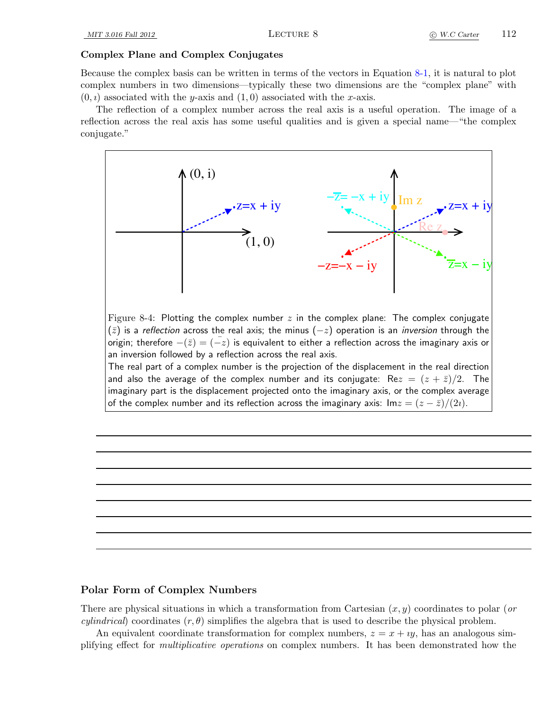#### Complex Plane and Complex Conjugates

Because the complex basis can be written in terms of the vectors in Equation [8-1,](#page-0-0) it is natural to plot complex numbers in two dimensions—typically these two dimensions are the "complex plane" with  $(0, i)$  associated with the y-axis and  $(1, 0)$  associated with the x-axis.

The reflection of a complex number across the real axis is a useful operation. The image of a reflection across the real axis has some useful qualities and is given a special name—"the complex conjugate."



#### Polar Form of Complex Numbers

There are physical situations in which a transformation from Cartesian  $(x, y)$  coordinates to polar (or *cylindrical*) coordinates  $(r, \theta)$  simplifies the algebra that is used to describe the physical problem.

An equivalent coordinate transformation for complex numbers,  $z = x + iy$ , has an analogous simplifying effect for multiplicative operations on complex numbers. It has been demonstrated how the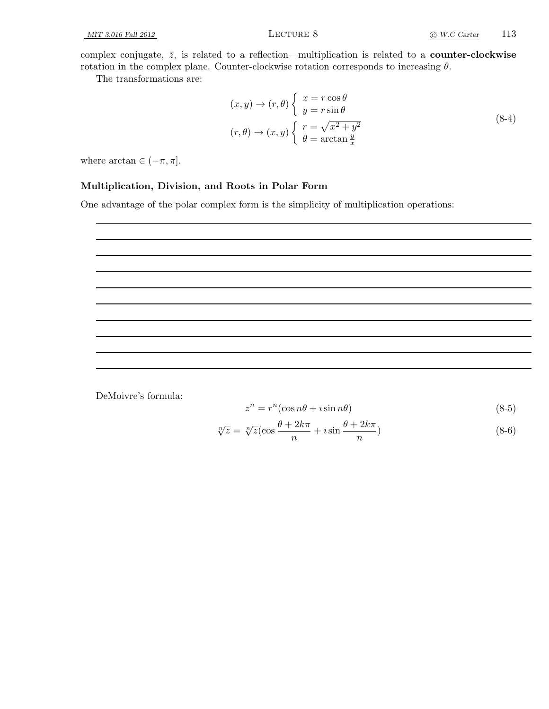complex conjugate,  $\bar{z}$ , is related to a reflection—multiplication is related to a **counter-clockwise** rotation in the complex plane. Counter-clockwise rotation corresponds to increasing  $\theta$ .

The transformations are:

$$
(x, y) \to (r, \theta) \begin{cases} x = r \cos \theta \\ y = r \sin \theta \end{cases}
$$
  

$$
(r, \theta) \to (x, y) \begin{cases} r = \sqrt{x^2 + y^2} \\ \theta = \arctan \frac{y}{x} \end{cases}
$$
 (8-4)

where  $\arctan \in (-\pi, \pi]$ .

### Multiplication, Division, and Roots in Polar Form

One advantage of the polar complex form is the simplicity of multiplication operations:



DeMoivre's formula:

$$
z^n = r^n(\cos n\theta + i\sin n\theta) \tag{8-5}
$$

$$
\sqrt[n]{z} = \sqrt[n]{z} \left(\cos\frac{\theta + 2k\pi}{n} + i\sin\frac{\theta + 2k\pi}{n}\right) \tag{8-6}
$$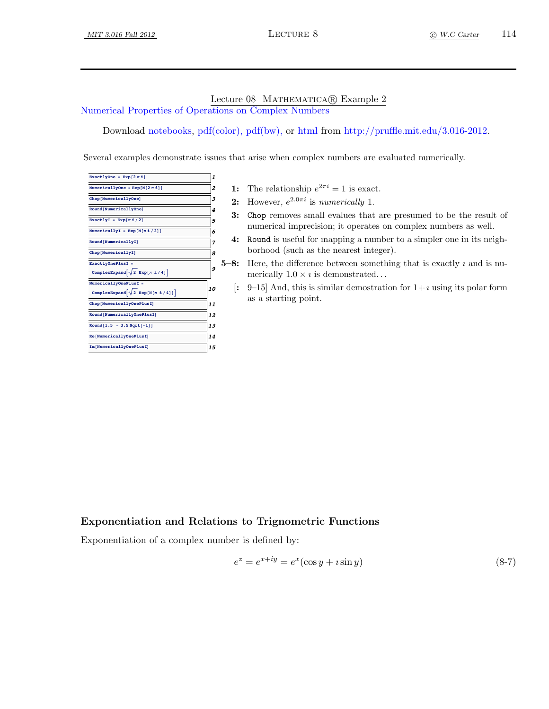## Lecture 08 MATHEMATICA® Example 2

Numerical Properties of Operations on Complex Numbers

Download [notebooks,](http://pruffle.mit.edu/3.016-2012/Notebooks/L08/Lecture-08.nb) [pdf\(color\),](http://pruffle.mit.edu/3.016-2012/pdf/L08/Lecture-08-2-COL.pdf) [pdf\(bw\),](http://pruffle.mit.edu/3.016-2012/pdf/L08/Lecture-08-2-BW.pdf) or [html](http://pruffle.mit.edu/3.016-2012/html/Lecture-08/HTMLLinks/index_2.html) from [http://pruffle.mit.edu/3.016-2012.](http://pruffle.mit.edu/3.016-2012)

Several examples demonstrate issues that arise when complex numbers are evaluated numerically.

| ExactlyOne = Exp[2 $\pi$ il]               | 1  |   |
|--------------------------------------------|----|---|
| NumericallyOne = $Exp[N[2 \pi \n1]]$       | 2  |   |
| Chop[NumericallyOne]                       | 3  |   |
| Round[NumericallyOne]                      | 4  |   |
| ExactlyI = $Exp[\pi i / 2]$                | 5  |   |
|                                            | 6  |   |
| Round[NumericallyI]                        | 7  |   |
| Chop[NumericallyI]                         | 8  |   |
| ExactlyOnePlusI =                          |    | 5 |
| ComplexExpand $\sqrt{2}$ Exp[ $\pi$ i/4]   | 9  |   |
| NumericallyOnePlusI =                      |    |   |
| ComplexExpand $\sqrt{2$ Exp[N[ $\pi$ i/4]] | 10 |   |
| Chop[NumericallyOnePlusI]                  | 11 |   |
| Round[NumericallyOnePlusI]                 | 12 |   |
| Round $[1.5 - 3.5 Sqrt[-1]]$               | 13 |   |
| Re[NumericallyOnePlusI]                    | 14 |   |
| Im [NumericallyOnePlusI]                   | 15 |   |
|                                            |    |   |

- 1: The relationship  $e^{2\pi i} = 1$  is exact.
- **2:** However,  $e^{2.0\pi i}$  is numerically 1.
- 3: Chop removes small evalues that are presumed to be the result of numerical imprecision; it operates on complex numbers as well.
- 4: Round is useful for mapping a number to a simpler one in its neighborhood (such as the nearest integer).
- $-8$ : Here, the difference between something that is exactly  $\imath$  and is numerically  $1.0 \times i$  is demonstrated...
- [: 9–15] And, this is similar demostration for  $1+i$  using its polar form as a starting point.

## Exponentiation and Relations to Trignometric Functions

Exponentiation of a complex number is defined by:

<span id="page-4-0"></span>
$$
e^z = e^{x+iy} = e^x(\cos y + i\sin y) \tag{8-7}
$$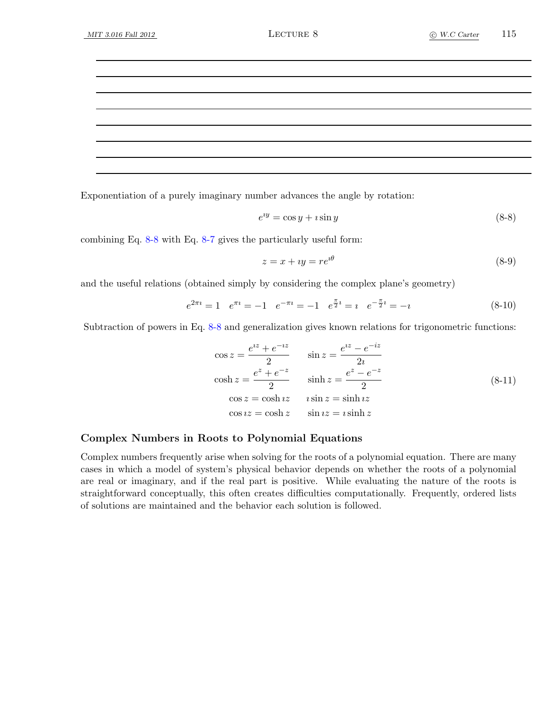Exponentiation of a purely imaginary number advances the angle by rotation:

<span id="page-5-0"></span>
$$
e^{iy} = \cos y + i \sin y \tag{8-8}
$$

combining Eq. [8-8](#page-5-0) with Eq. [8-7](#page-4-0) gives the particularly useful form:

$$
z = x + iy = re^{i\theta} \tag{8-9}
$$

and the useful relations (obtained simply by considering the complex plane's geometry)

$$
e^{2\pi i} = 1 \quad e^{\pi i} = -1 \quad e^{-\pi i} = -1 \quad e^{\frac{\pi}{2}i} = i \quad e^{-\frac{\pi}{2}i} = -i \tag{8-10}
$$

Subtraction of powers in Eq. [8-8](#page-5-0) and generalization gives known relations for trigonometric functions:

$$
\cos z = \frac{e^{iz} + e^{-iz}}{2} \qquad \sin z = \frac{e^{iz} - e^{-iz}}{2i}
$$

$$
\cosh z = \frac{e^{z} + e^{-z}}{2} \qquad \sinh z = \frac{e^{z} - e^{-z}}{2}
$$

$$
\cos z = \cosh iz \qquad i \sin z = \sinh iz
$$

$$
\cos iz = \cosh z \qquad \sin iz = i \sinh z
$$

$$
(8-11)
$$

### Complex Numbers in Roots to Polynomial Equations

Complex numbers frequently arise when solving for the roots of a polynomial equation. There are many cases in which a model of system's physical behavior depends on whether the roots of a polynomial are real or imaginary, and if the real part is positive. While evaluating the nature of the roots is straightforward conceptually, this often creates difficulties computationally. Frequently, ordered lists of solutions are maintained and the behavior each solution is followed.